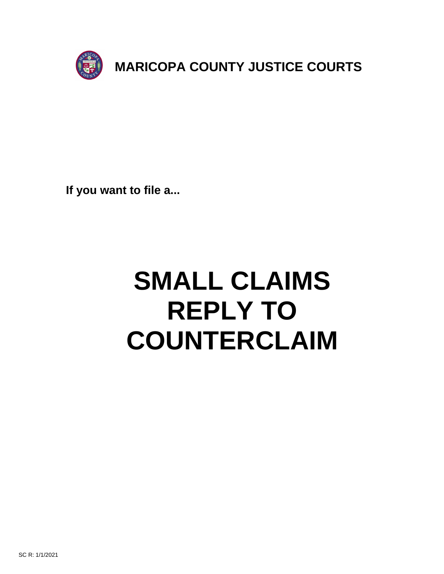

**If you want to file a...**

# **SMALL CLAIMS REPLY TO COUNTERCLAIM**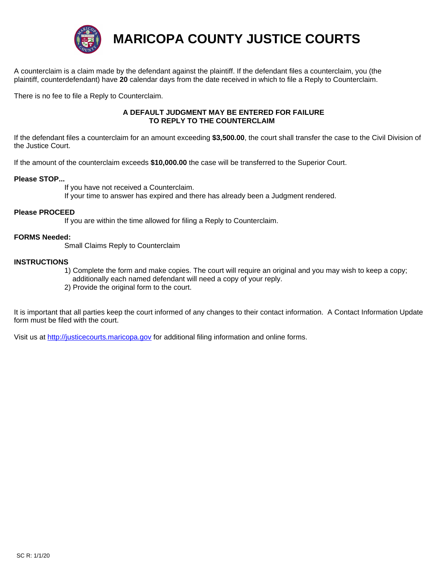

**MARICOPA COUNTY JUSTICE COURTS**

A counterclaim is a claim made by the defendant against the plaintiff. If the defendant files a counterclaim, you (the plaintiff, counterdefendant) have **20** calendar days from the date received in which to file a Reply to Counterclaim.

There is no fee to file a Reply to Counterclaim.

### **A DEFAULT JUDGMENT MAY BE ENTERED FOR FAILURE TO REPLY TO THE COUNTERCLAIM**

If the defendant files a counterclaim for an amount exceeding **\$3,500.00**, the court shall transfer the case to the Civil Division of the Justice Court.

If the amount of the counterclaim exceeds **\$10,000.00** the case will be transferred to the Superior Court.

## **Please STOP...**

 If you have not received a Counterclaim. If your time to answer has expired and there has already been a Judgment rendered.

#### **Please PROCEED**

If you are within the time allowed for filing a Reply to Counterclaim.

#### **FORMS Needed:**

Small Claims Reply to Counterclaim

#### **INSTRUCTIONS**

- 1) Complete the form and make copies. The court will require an original and you may wish to keep a copy; additionally each named defendant will need a copy of your reply.
- 2) Provide the original form to the court.

It is important that all parties keep the court informed of any changes to their contact information. A Contact Information Update form must be filed with the court.

Visit us at http://justicecourts.maricopa.gov for additional filing information and online forms.